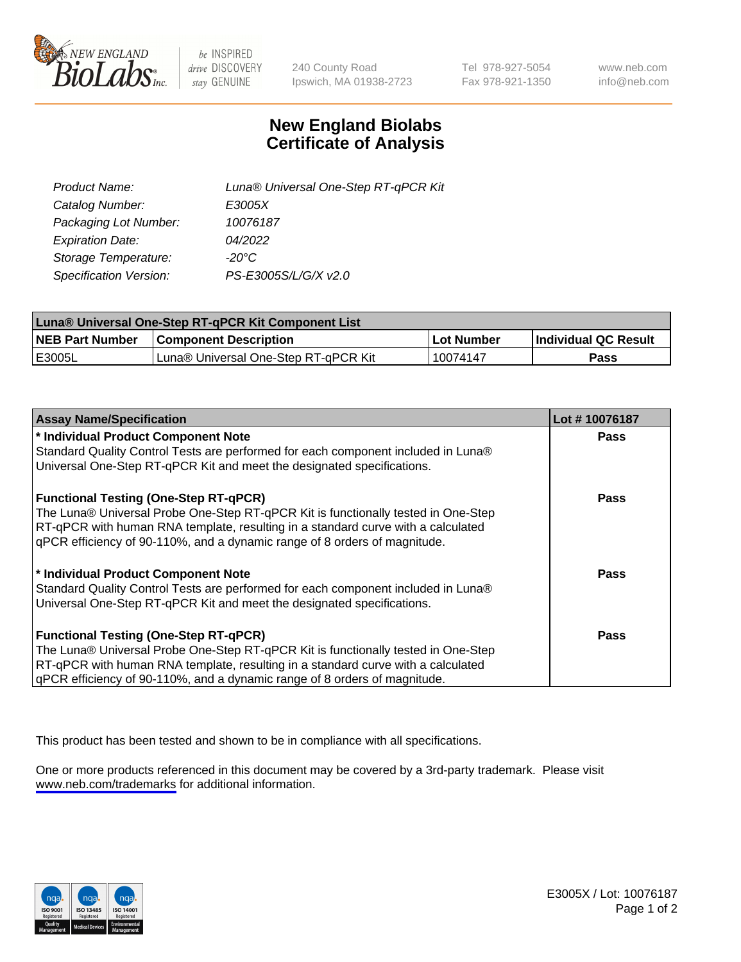

be INSPIRED drive DISCOVERY stay GENUINE

240 County Road Ipswich, MA 01938-2723 Tel 978-927-5054 Fax 978-921-1350

www.neb.com info@neb.com

## **New England Biolabs Certificate of Analysis**

| Product Name:           | Luna® Universal One-Step RT-qPCR Kit |
|-------------------------|--------------------------------------|
| Catalog Number:         | E3005X                               |
| Packaging Lot Number:   | 10076187                             |
| <b>Expiration Date:</b> | 04/2022                              |
| Storage Temperature:    | $-20^{\circ}$ C                      |
| Specification Version:  | PS-E3005S/L/G/X v2.0                 |

| Luna® Universal One-Step RT-qPCR Kit Component List |                                      |            |                      |  |
|-----------------------------------------------------|--------------------------------------|------------|----------------------|--|
| <b>NEB Part Number</b>                              | <b>Component Description</b>         | Lot Number | Individual QC Result |  |
| <b>IE3005L</b>                                      | Luna® Universal One-Step RT-qPCR Kit | 10074147   | <b>Pass</b>          |  |

| <b>Assay Name/Specification</b>                                                   | Lot #10076187 |
|-----------------------------------------------------------------------------------|---------------|
| * Individual Product Component Note                                               | <b>Pass</b>   |
| Standard Quality Control Tests are performed for each component included in Luna® |               |
| Universal One-Step RT-qPCR Kit and meet the designated specifications.            |               |
| <b>Functional Testing (One-Step RT-qPCR)</b>                                      | <b>Pass</b>   |
| The Luna® Universal Probe One-Step RT-qPCR Kit is functionally tested in One-Step |               |
| RT-qPCR with human RNA template, resulting in a standard curve with a calculated  |               |
| qPCR efficiency of 90-110%, and a dynamic range of 8 orders of magnitude.         |               |
| * Individual Product Component Note                                               | Pass          |
| Standard Quality Control Tests are performed for each component included in Luna® |               |
| Universal One-Step RT-qPCR Kit and meet the designated specifications.            |               |
| <b>Functional Testing (One-Step RT-qPCR)</b>                                      | Pass          |
| The Luna® Universal Probe One-Step RT-qPCR Kit is functionally tested in One-Step |               |
| RT-qPCR with human RNA template, resulting in a standard curve with a calculated  |               |
| gPCR efficiency of 90-110%, and a dynamic range of 8 orders of magnitude.         |               |

This product has been tested and shown to be in compliance with all specifications.

One or more products referenced in this document may be covered by a 3rd-party trademark. Please visit <www.neb.com/trademarks>for additional information.